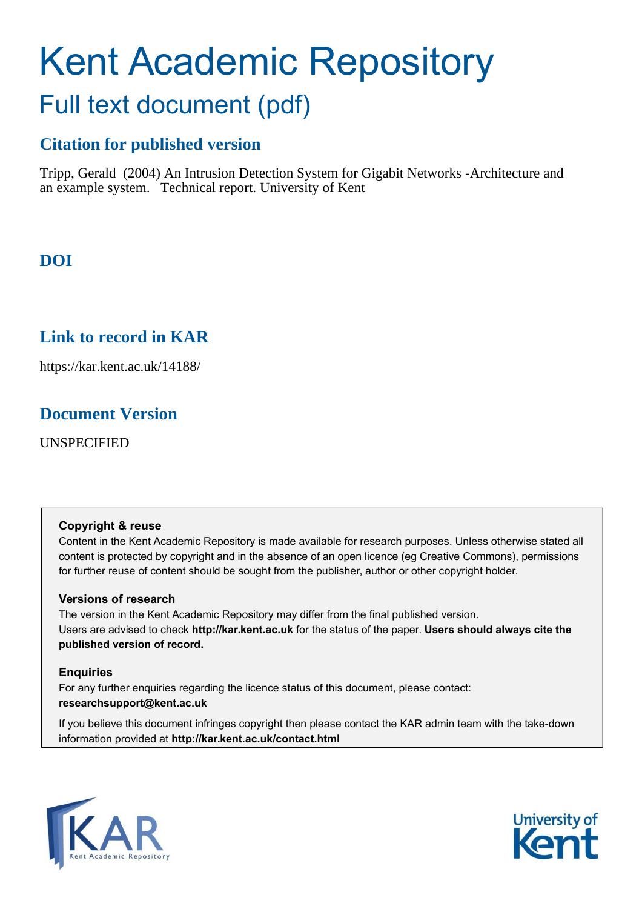# Kent Academic Repository Full text document (pdf)

## **Citation for published version**

Tripp, Gerald (2004) An Intrusion Detection System for Gigabit Networks -Architecture and an example system. Technical report. University of Kent

# **DOI**

## **Link to record in KAR**

https://kar.kent.ac.uk/14188/

## **Document Version**

UNSPECIFIED

#### **Copyright & reuse**

Content in the Kent Academic Repository is made available for research purposes. Unless otherwise stated all content is protected by copyright and in the absence of an open licence (eg Creative Commons), permissions for further reuse of content should be sought from the publisher, author or other copyright holder.

#### **Versions of research**

The version in the Kent Academic Repository may differ from the final published version. Users are advised to check **http://kar.kent.ac.uk** for the status of the paper. **Users should always cite the published version of record.**

#### **Enquiries**

For any further enquiries regarding the licence status of this document, please contact: **researchsupport@kent.ac.uk**

If you believe this document infringes copyright then please contact the KAR admin team with the take-down information provided at **http://kar.kent.ac.uk/contact.html**



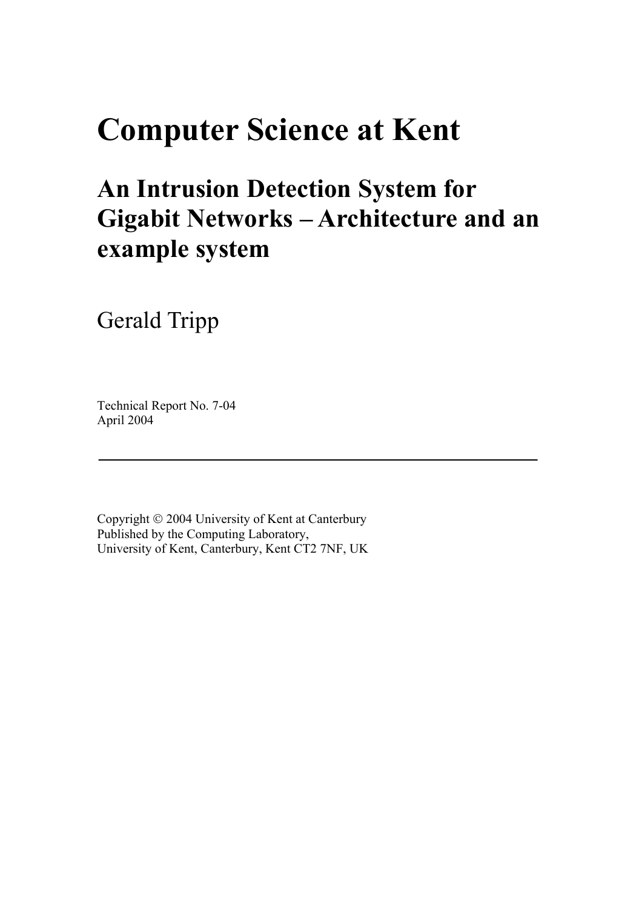# **Computer Science at Kent**

# **An Intrusion Detection System for Gigabit Networks - Architecture and an example system**

Gerald Tripp

Technical Report No. 7-04 April 2004

Copyright  $\odot$  2004 University of Kent at Canterbury Published by the Computing Laboratory, University of Kent, Canterbury, Kent CT2 7NF, UK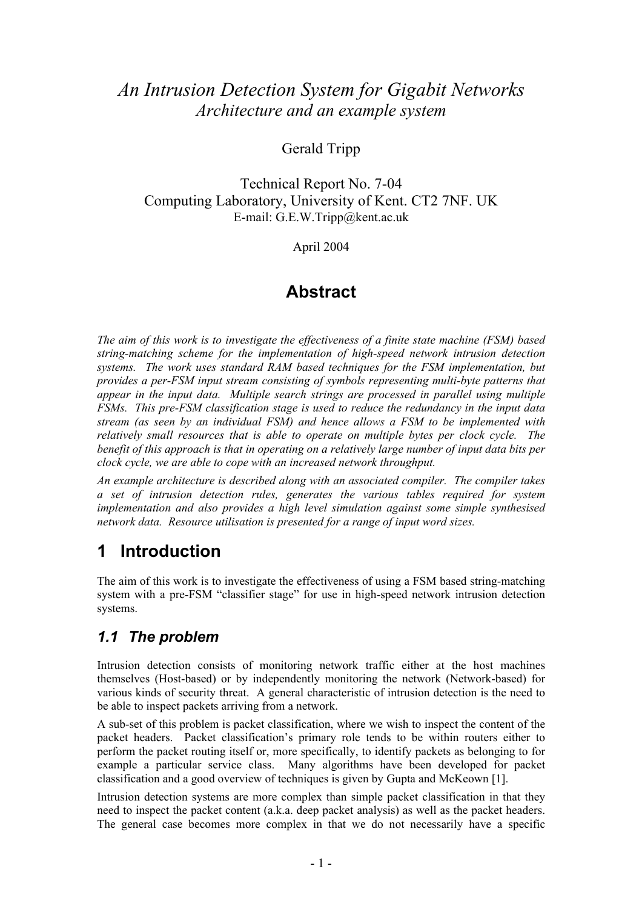# *An Intrusion Detection System for Gigabit Networks Architecture and an example system*

#### Gerald Tripp

Technical Report No. 7-04 Computing Laboratory, University of Kent. CT2 7NF. UK E-mail: G.E.W.Tripp@kent.ac.uk

April 2004

# **Abstract**

*The aim of this work is to investigate the effectiveness of a finite state machine (FSM) based string-matching scheme for the implementation of high-speed network intrusion detection systems. The work uses standard RAM based techniques for the FSM implementation, but provides a per-FSM input stream consisting of symbols representing multi-byte patterns that appear in the input data. Multiple search strings are processed in parallel using multiple FSMs. This pre-FSM classification stage is used to reduce the redundancy in the input data stream (as seen by an individual FSM) and hence allows a FSM to be implemented with relatively small resources that is able to operate on multiple bytes per clock cycle. The benefit of this approach is that in operating on a relatively large number of input data bits per clock cycle, we are able to cope with an increased network throughput.* 

*An example architecture is described along with an associated compiler. The compiler takes a set of intrusion detection rules, generates the various tables required for system implementation and also provides a high level simulation against some simple synthesised network data. Resource utilisation is presented for a range of input word sizes.* 

## **1 Introduction**

The aim of this work is to investigate the effectiveness of using a FSM based string-matching system with a pre-FSM "classifier stage" for use in high-speed network intrusion detection systems.

### *1.1 The problem*

Intrusion detection consists of monitoring network traffic either at the host machines themselves (Host-based) or by independently monitoring the network (Network-based) for various kinds of security threat. A general characteristic of intrusion detection is the need to be able to inspect packets arriving from a network.

A sub-set of this problem is packet classification, where we wish to inspect the content of the packet headers. Packet classification's primary role tends to be within routers either to perform the packet routing itself or, more specifically, to identify packets as belonging to for example a particular service class. Many algorithms have been developed for packet classification and a good overview of techniques is given by Gupta and McKeown [[1\]](#page-24-0).

Intrusion detection systems are more complex than simple packet classification in that they need to inspect the packet content (a.k.a. deep packet analysis) as well as the packet headers. The general case becomes more complex in that we do not necessarily have a specific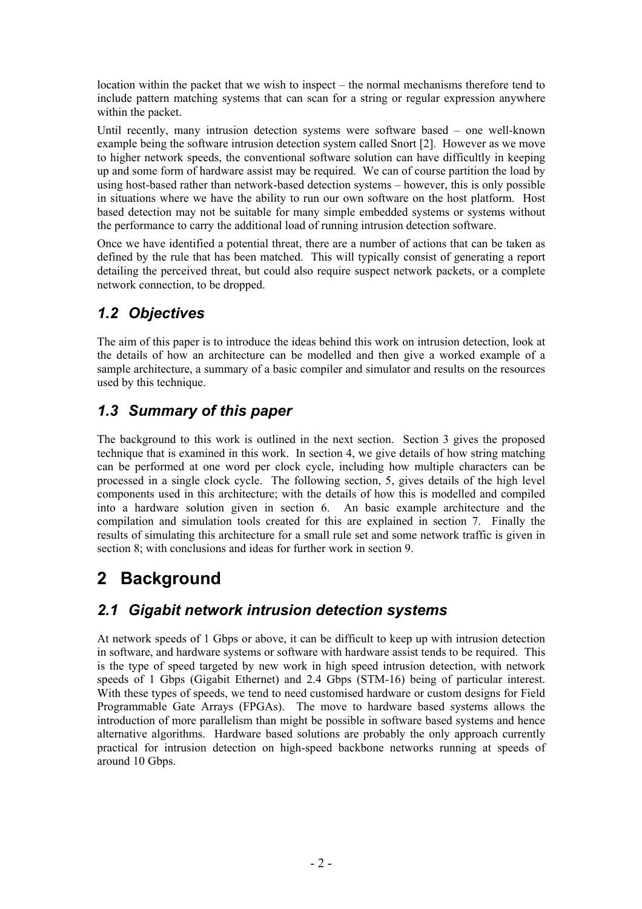location within the packet that we wish to inspect  $-$  the normal mechanisms therefore tend to include pattern matching systems that can scan for a string or regular expression anywhere within the packet.

Until recently, many intrusion detection systems were software based  $-$  one well-known example being the software intrusion detection system called Snort [\[2\]](#page-24-1). However as we move to higher network speeds, the conventional software solution can have difficultly in keeping up and some form of hardware assist may be required. We can of course partition the load by using host-based rather than network-based detection systems – however, this is only possible in situations where we have the ability to run our own software on the host platform. Host based detection may not be suitable for many simple embedded systems or systems without the performance to carry the additional load of running intrusion detection software.

Once we have identified a potential threat, there are a number of actions that can be taken as defined by the rule that has been matched. This will typically consist of generating a report detailing the perceived threat, but could also require suspect network packets, or a complete network connection, to be dropped.

# *1.2 Objectives*

The aim of this paper is to introduce the ideas behind this work on intrusion detection, look at the details of how an architecture can be modelled and then give a worked example of a sample architecture, a summary of a basic compiler and simulator and results on the resources used by this technique.

## *1.3 Summary of this paper*

The background to this work is outlined in the next section. Section 3 gives the proposed technique that is examined in this work. In section 4, we give details of how string matching can be performed at one word per clock cycle, including how multiple characters can be processed in a single clock cycle. The following section, 5, gives details of the high level components used in this architecture; with the details of how this is modelled and compiled into a hardware solution given in section 6. An basic example architecture and the compilation and simulation tools created for this are explained in section 7. Finally the results of simulating this architecture for a small rule set and some network traffic is given in section 8; with conclusions and ideas for further work in section 9.

# **2 Background**

## *2.1 Gigabit network intrusion detection systems*

At network speeds of 1 Gbps or above, it can be difficult to keep up with intrusion detection in software, and hardware systems or software with hardware assist tends to be required. This is the type of speed targeted by new work in high speed intrusion detection, with network speeds of 1 Gbps (Gigabit Ethernet) and 2.4 Gbps (STM-16) being of particular interest. With these types of speeds, we tend to need customised hardware or custom designs for Field Programmable Gate Arrays (FPGAs). The move to hardware based systems allows the introduction of more parallelism than might be possible in software based systems and hence alternative algorithms. Hardware based solutions are probably the only approach currently practical for intrusion detection on high-speed backbone networks running at speeds of around 10 Gbps.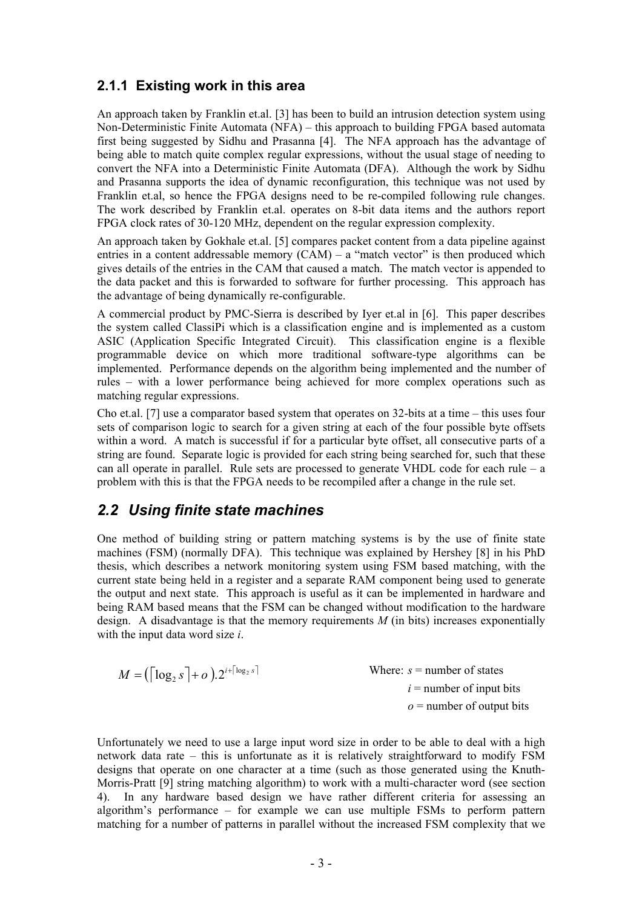#### **2.1.1 Existing work in this area**

<span id="page-4-1"></span><span id="page-4-0"></span>An approach taken by Franklin et.al. [[3\]](#page-24-2) has been to build an intrusion detection system using Non-Deterministic Finite Automata (NFA)  $-$  this approach to building FPGA based automata first being suggested by Sidhu and Prasanna [[4\]](#page-24-3). The NFA approach has the advantage of being able to match quite complex regular expressions, without the usual stage of needing to convert the NFA into a Deterministic Finite Automata (DFA). Although the work by Sidhu and Prasanna supports the idea of dynamic reconfiguration, this technique was not used by Franklin et.al, so hence the FPGA designs need to be re-compiled following rule changes. The work described by Franklin et.al. operates on 8-bit data items and the authors report FPGA clock rates of 30-120 MHz, dependent on the regular expression complexity.

An approach taken by Gokhale et.al. [[5\]](#page-24-4) compares packet content from a data pipeline against entries in a content addressable memory  $(CAM) - a$  "match vector" is then produced which gives details of the entries in the CAM that caused a match. The match vector is appended to the data packet and this is forwarded to software for further processing. This approach has the advantage of being dynamically re-configurable.

A commercial product by PMC-Sierra is described by Iyer et.al in [[6\]](#page-24-5). This paper describes the system called ClassiPi which is a classification engine and is implemented as a custom ASIC (Application Specific Integrated Circuit). This classification engine is a flexible programmable device on which more traditional software-type algorithms can be implemented. Performance depends on the algorithm being implemented and the number of rules – with a lower performance being achieved for more complex operations such as matching regular expressions.

Cho et.al. [[7\]](#page-24-6) use a comparator based system that operates on  $32$ -bits at a time – this uses four sets of comparison logic to search for a given string at each of the four possible byte offsets within a word. A match is successful if for a particular byte offset, all consecutive parts of a string are found. Separate logic is provided for each string being searched for, such that these can all operate in parallel. Rule sets are processed to generate VHDL code for each rule  $-a$ problem with this is that the FPGA needs to be recompiled after a change in the rule set.

#### *2.2 Using finite state machines*

One method of building string or pattern matching systems is by the use of finite state machines (FSM) (normally DFA). This technique was explained by Hershey [[8\]](#page-24-7) in his PhD thesis, which describes a network monitoring system using FSM based matching, with the current state being held in a register and a separate RAM component being used to generate the output and next state. This approach is useful as it can be implemented in hardware and being RAM based means that the FSM can be changed without modification to the hardware design. A disadvantage is that the memory requirements  $M$  (in bits) increases exponentially with the input data word size *i*.

| $M = (\lceil \log_2 s \rceil + o) \cdot 2^{i + \lceil \log_2 s \rceil}$ | Where: $s =$ number of states |
|-------------------------------------------------------------------------|-------------------------------|
|                                                                         | $i =$ number of input bits    |
|                                                                         | $o$ = number of output bits   |

Unfortunately we need to use a large input word size in order to be able to deal with a high network data rate  $-$  this is unfortunate as it is relatively straightforward to modify FSM designs that operate on one character at a time (such as those generated using the Knuth-Morris-Pratt [[9\]](#page-24-8) string matching algorithm) to work with a multi-character word (see section [4\)](#page-6-0). In any hardware based design we have rather different criteria for assessing an algorithm's performance  $-$  for example we can use multiple FSMs to perform pattern matching for a number of patterns in parallel without the increased FSM complexity that we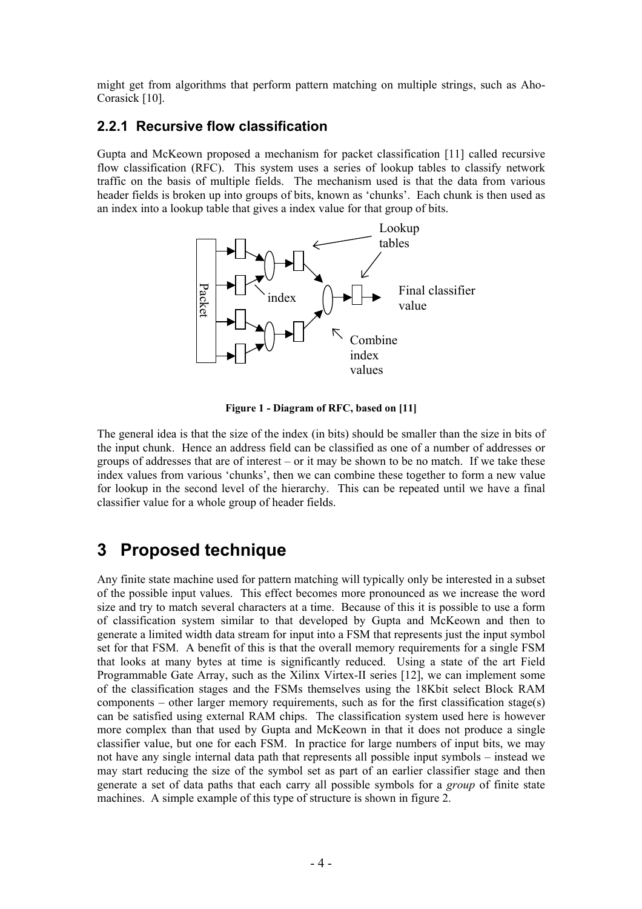might get from algorithms that perform pattern matching on multiple strings, such as Aho-Corasick [[10\]](#page-24-9).

#### **2.2.1 Recursive flow classification**

Gupta and McKeown proposed a mechanism for packet classification [[11\]](#page-24-10) called recursive flow classification (RFC). This system uses a series of lookup tables to classify network traffic on the basis of multiple fields. The mechanism used is that the data from various header fields is broken up into groups of bits, known as 'chunks'. Each chunk is then used as an index into a lookup table that gives a index value for that group of bits.



**Figure 1 - Diagram of RFC, based on [11]** 

The general idea is that the size of the index (in bits) should be smaller than the size in bits of the input chunk. Hence an address field can be classified as one of a number of addresses or groups of addresses that are of interest  $-$  or it may be shown to be no match. If we take these index values from various 'chunks', then we can combine these together to form a new value for lookup in the second level of the hierarchy. This can be repeated until we have a final classifier value for a whole group of header fields.

## **3 Proposed technique**

Any finite state machine used for pattern matching will typically only be interested in a subset of the possible input values. This effect becomes more pronounced as we increase the word size and try to match several characters at a time. Because of this it is possible to use a form of classification system similar to that developed by Gupta and McKeown and then to generate a limited width data stream for input into a FSM that represents just the input symbol set for that FSM. A benefit of this is that the overall memory requirements for a single FSM that looks at many bytes at time is significantly reduced. Using a state of the art Field Programmable Gate Array, such as the Xilinx Virtex-II series [\[12\]](#page-24-11), we can implement some of the classification stages and the FSMs themselves using the 18Kbit select Block RAM components  $\sim$  other larger memory requirements, such as for the first classification stage(s) can be satisfied using external RAM chips. The classification system used here is however more complex than that used by Gupta and McKeown in that it does not produce a single classifier value, but one for each FSM. In practice for large numbers of input bits, we may not have any single internal data path that represents all possible input symbols  $-$  instead we may start reducing the size of the symbol set as part of an earlier classifier stage and then generate a set of data paths that each carry all possible symbols for a *group* of finite state machines. A simple example of this type of structure is shown in figure 2.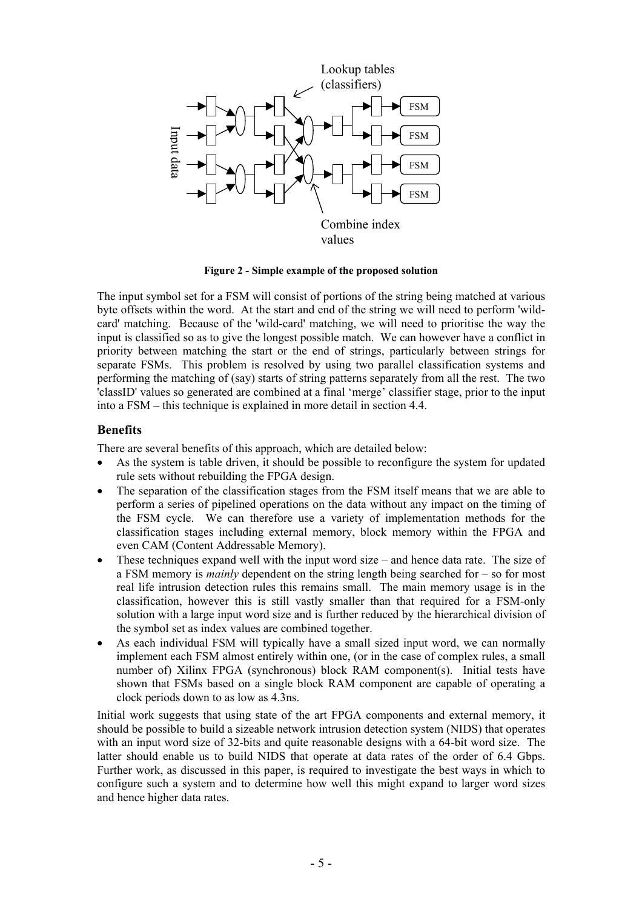

**Figure 2 - Simple example of the proposed solution** 

The input symbol set for a FSM will consist of portions of the string being matched at various byte offsets within the word. At the start and end of the string we will need to perform 'wildcard' matching. Because of the 'wild-card' matching, we will need to prioritise the way the input is classified so as to give the longest possible match. We can however have a conflict in priority between matching the start or the end of strings, particularly between strings for separate FSMs. This problem is resolved by using two parallel classification systems and performing the matching of (say) starts of string patterns separately from all the rest. The two 'classID' values so generated are combined at a final 'merge' classifier stage, prior to the input into a  $FSM - this$  this technique is explained in more detail in section [4.4.](#page-10-0)

#### <span id="page-6-0"></span>**Benefits**

There are several benefits of this approach, which are detailed below:

- As the system is table driven, it should be possible to reconfigure the system for updated rule sets without rebuilding the FPGA design.
- The separation of the classification stages from the FSM itself means that we are able to perform a series of pipelined operations on the data without any impact on the timing of the FSM cycle. We can therefore use a variety of implementation methods for the classification stages including external memory, block memory within the FPGA and even CAM (Content Addressable Memory).
- These techniques expand well with the input word size  $-$  and hence data rate. The size of a FSM memory is *mainly* dependent on the string length being searched for  $-$  so for most real life intrusion detection rules this remains small. The main memory usage is in the classification, however this is still vastly smaller than that required for a FSM-only solution with a large input word size and is further reduced by the hierarchical division of the symbol set as index values are combined together.
- As each individual FSM will typically have a small sized input word, we can normally implement each FSM almost entirely within one, (or in the case of complex rules, a small number of) Xilinx FPGA (synchronous) block RAM component(s). Initial tests have shown that FSMs based on a single block RAM component are capable of operating a clock periods down to as low as 4.3ns.

Initial work suggests that using state of the art FPGA components and external memory, it should be possible to build a sizeable network intrusion detection system (NIDS) that operates with an input word size of 32-bits and quite reasonable designs with a 64-bit word size. The latter should enable us to build NIDS that operate at data rates of the order of 6.4 Gbps. Further work, as discussed in this paper, is required to investigate the best ways in which to configure such a system and to determine how well this might expand to larger word sizes and hence higher data rates.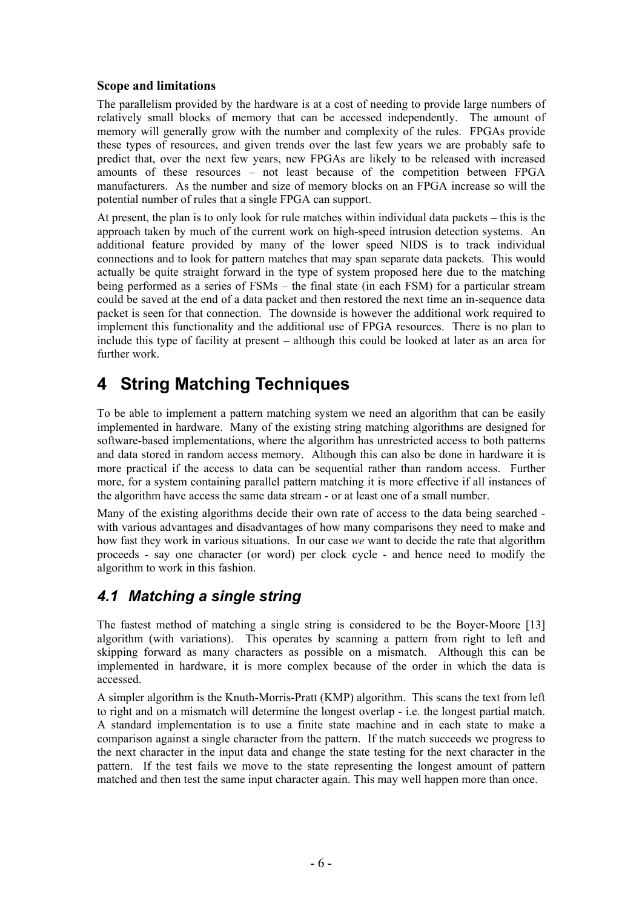#### **Scope and limitations**

The parallelism provided by the hardware is at a cost of needing to provide large numbers of relatively small blocks of memory that can be accessed independently. The amount of memory will generally grow with the number and complexity of the rules. FPGAs provide these types of resources, and given trends over the last few years we are probably safe to predict that, over the next few years, new FPGAs are likely to be released with increased amounts of these resources – not least because of the competition between FPGA manufacturers. As the number and size of memory blocks on an FPGA increase so will the potential number of rules that a single FPGA can support.

At present, the plan is to only look for rule matches within individual data packets  $-$  this is the approach taken by much of the current work on high-speed intrusion detection systems. An additional feature provided by many of the lower speed NIDS is to track individual connections and to look for pattern matches that may span separate data packets. This would actually be quite straight forward in the type of system proposed here due to the matching being performed as a series of  $FSMs$  – the final state (in each  $FSM$ ) for a particular stream could be saved at the end of a data packet and then restored the next time an in-sequence data packet is seen for that connection. The downside is however the additional work required to implement this functionality and the additional use of FPGA resources. There is no plan to include this type of facility at present  $-$  although this could be looked at later as an area for further work.

# **4 String Matching Techniques**

To be able to implement a pattern matching system we need an algorithm that can be easily implemented in hardware. Many of the existing string matching algorithms are designed for software-based implementations, where the algorithm has unrestricted access to both patterns and data stored in random access memory. Although this can also be done in hardware it is more practical if the access to data can be sequential rather than random access. Further more, for a system containing parallel pattern matching it is more effective if all instances of the algorithm have access the same data stream - or at least one of a small number.

Many of the existing algorithms decide their own rate of access to the data being searched with various advantages and disadvantages of how many comparisons they need to make and how fast they work in various situations. In our case *we* want to decide the rate that algorithm proceeds - say one character (or word) per clock cycle - and hence need to modify the algorithm to work in this fashion.

## *4.1 Matching a single string*

The fastest method of matching a single string is considered to be the Boyer-Moore [[13\]](#page-24-12) algorithm (with variations). This operates by scanning a pattern from right to left and skipping forward as many characters as possible on a mismatch. Although this can be implemented in hardware, it is more complex because of the order in which the data is accessed.

A simpler algorithm is the Knuth-Morris-Pratt (KMP) algorithm. This scans the text from left to right and on a mismatch will determine the longest overlap - i.e. the longest partial match. A standard implementation is to use a finite state machine and in each state to make a comparison against a single character from the pattern. If the match succeeds we progress to the next character in the input data and change the state testing for the next character in the pattern. If the test fails we move to the state representing the longest amount of pattern matched and then test the same input character again. This may well happen more than once.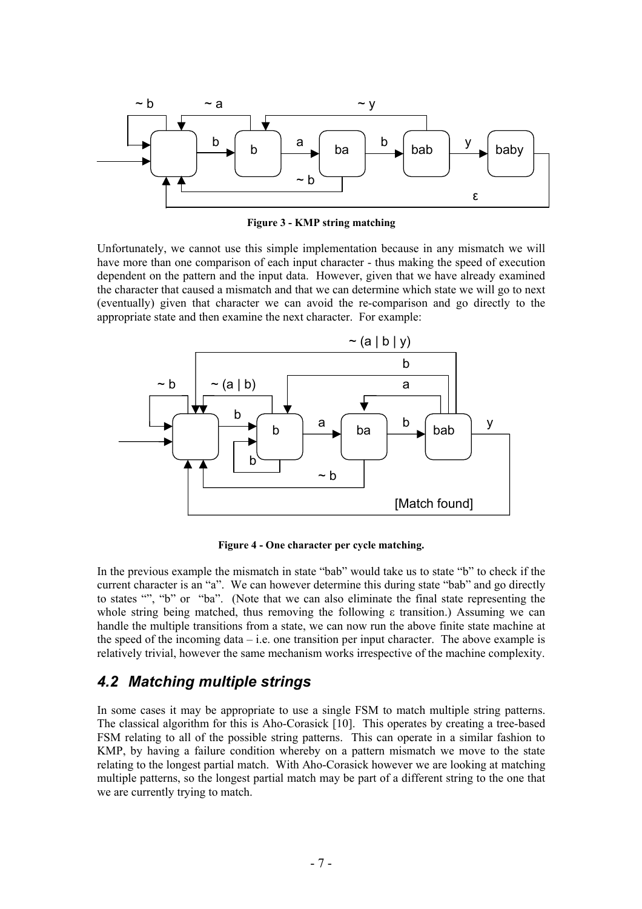

**Figure 3 - KMP string matching** 

Unfortunately, we cannot use this simple implementation because in any mismatch we will have more than one comparison of each input character - thus making the speed of execution dependent on the pattern and the input data. However, given that we have already examined the character that caused a mismatch and that we can determine which state we will go to next (eventually) given that character we can avoid the re-comparison and go directly to the appropriate state and then examine the next character. For example:



**Figure 4 - One character per cycle matching.** 

In the previous example the mismatch in state "bab" would take us to state "b" to check if the current character is an "a". We can however determine this during state "bab" and go directly to states "", "b" or "ba". (Note that we can also eliminate the final state representing the whole string being matched, thus removing the following  $\epsilon$  transition.) Assuming we can handle the multiple transitions from a state, we can now run the above finite state machine at the speed of the incoming data  $-i.e.$  one transition per input character. The above example is relatively trivial, however the same mechanism works irrespective of the machine complexity.

### *4.2 Matching multiple strings*

In some cases it may be appropriate to use a single FSM to match multiple string patterns. The classical algorithm for this is Aho-Corasick [\[10\]](#page-4-0). This operates by creating a tree-based FSM relating to all of the possible string patterns. This can operate in a similar fashion to KMP, by having a failure condition whereby on a pattern mismatch we move to the state relating to the longest partial match. With Aho-Corasick however we are looking at matching multiple patterns, so the longest partial match may be part of a different string to the one that we are currently trying to match.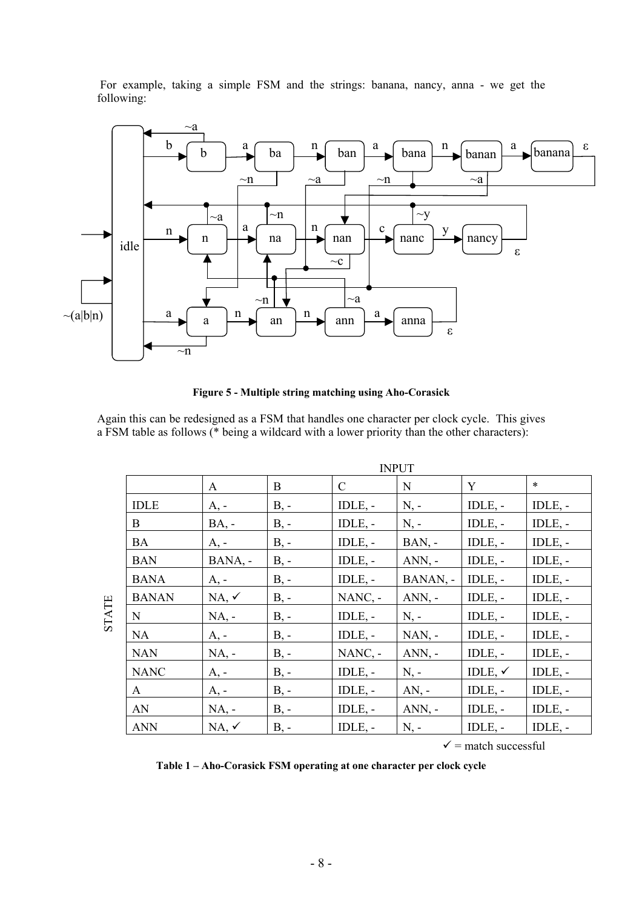For example, taking a simple FSM and the strings: banana, nancy, anna - we get the following:



**Figure 5 - Multiple string matching using Aho-Corasick** 

Again this can be redesigned as a FSM that handles one character per clock cycle. This gives a FSM table as follows (\* being a wildcard with a lower priority than the other characters):

|              |              | <b>INPUT</b>     |        |               |           |                    |              |  |  |
|--------------|--------------|------------------|--------|---------------|-----------|--------------------|--------------|--|--|
|              |              | $\mathbf{A}$     | B      | $\mathcal{C}$ | N         | Y                  | $\ast$       |  |  |
|              | <b>IDLE</b>  | $A, -$           | $B, -$ | $IDLE$ , -    | $N, -$    | $IDLE$ , -         | $IDLE$ , -   |  |  |
|              | B            | $BA, -$          | $B, -$ | $IDLE$ , -    | $N, -$    | $IDLE$ , -         | $IDLE$ , -   |  |  |
|              | <b>BA</b>    | $A, -$           | $B, -$ | $IDLE$ , -    | $BAN$ , - | $IDLE$ , -         | $IDLE$ , -   |  |  |
|              | <b>BAN</b>   | BANA, -          | $B, -$ | $IDLE$ , -    | $ANN, -$  | $IDLE$ , -         | $IDLE$ , -   |  |  |
|              | <b>BANA</b>  | A, -             | $B, -$ | $IDLE$ , -    | BANAN, -  | IDLE, -            | $IDLE$ , -   |  |  |
|              | <b>BANAN</b> | $NA, \checkmark$ | $B, -$ | $NANC, -$     | $ANN, -$  | $IDLE$ , $-$       | $IDLE$ , -   |  |  |
| <b>STATE</b> | N            | $NA$ , -         | $B, -$ | $IDLE$ , $-$  | $N, -$    | $IDLE$ , $-$       | $IDLE$ , $-$ |  |  |
|              | <b>NA</b>    | $A, -$           | $B, -$ | $IDLE$ , -    | $NAN$ , - | $IDLE$ , -         | IDLE, -      |  |  |
|              | <b>NAN</b>   | $NA$ , -         | $B, -$ | $NANC$ , -    | $ANN, -$  | $IDLE$ , -         | $IDLE$ , -   |  |  |
|              | <b>NANC</b>  | $A, -$           | $B, -$ | $IDLE$ , -    | $N, -$    | IDLE, $\checkmark$ | $IDLE$ , -   |  |  |
|              | $\mathbf{A}$ | $A, -$           | $B, -$ | $IDLE$ , -    | $AN, -$   | $IDLE$ , $-$       | $IDLE$ , -   |  |  |
|              | AN           | $NA$ , -         | $B, -$ | IDLE, -       | $ANN, -$  | $IDLE$ , -         | IDLE, -      |  |  |
|              | <b>ANN</b>   | $NA, \checkmark$ | $B, -$ | $IDLE$ , -    | $N, -$    | IDLE, -            | $IDLE$ , -   |  |  |

 $\checkmark$  = match successful

Table 1 – Aho-Corasick FSM operating at one character per clock cycle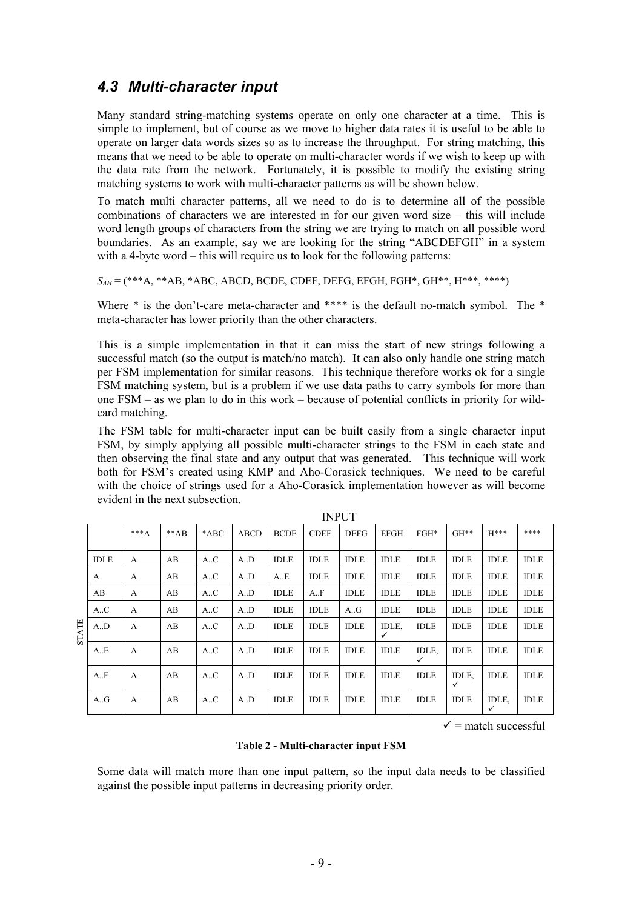#### <span id="page-10-0"></span>*4.3 Multi-character input*

Many standard string-matching systems operate on only one character at a time. This is simple to implement, but of course as we move to higher data rates it is useful to be able to operate on larger data words sizes so as to increase the throughput. For string matching, this means that we need to be able to operate on multi-character words if we wish to keep up with the data rate from the network. Fortunately, it is possible to modify the existing string matching systems to work with multi-character patterns as will be shown below.

To match multi character patterns, all we need to do is to determine all of the possible combinations of characters we are interested in for our given word size  $-$  this will include word length groups of characters from the string we are trying to match on all possible word boundaries. As an example, say we are looking for the string "ABCDEFGH" in a system with a 4-byte word  $-$  this will require us to look for the following patterns:

*SAH* = (\*\*\*A, \*\*AB, \*ABC, ABCD, BCDE, CDEF, DEFG, EFGH, FGH\*, GH\*\*, H\*\*\*, \*\*\*\*)

Where  $*$  is the don't-care meta-character and  $***$  is the default no-match symbol. The  $*$ meta-character has lower priority than the other characters.

This is a simple implementation in that it can miss the start of new strings following a successful match (so the output is match/no match). It can also only handle one string match per FSM implementation for similar reasons. This technique therefore works ok for a single FSM matching system, but is a problem if we use data paths to carry symbols for more than one  $FSM - as$  we plan to do in this work – because of potential conflicts in priority for wildcard matching.

The FSM table for multi-character input can be built easily from a single character input FSM, by simply applying all possible multi-character strings to the FSM in each state and then observing the final state and any output that was generated. This technique will work both for FSM's created using KMP and Aho-Corasick techniques. We need to be careful with the choice of strings used for a Aho-Corasick implementation however as will become evident in the next subsection.

|              | <b>INPUT</b> |              |        |        |             |             |             |             |             |                       |             |                       |             |
|--------------|--------------|--------------|--------|--------|-------------|-------------|-------------|-------------|-------------|-----------------------|-------------|-----------------------|-------------|
|              |              | $***A$       | $**AB$ | $*ABC$ | <b>ABCD</b> | <b>BCDE</b> | <b>CDEF</b> | <b>DEFG</b> | <b>EFGH</b> | $FGH*$                | $GH**$      | $H***$                | ****        |
|              | <b>IDLE</b>  | A            | AB     | A.C    | A.D         | <b>IDLE</b> | <b>IDLE</b> | <b>IDLE</b> | <b>IDLE</b> | <b>IDLE</b>           | <b>IDLE</b> | <b>IDLE</b>           | <b>IDLE</b> |
|              | A            | A            | AB     | A.C    | A.D         | A.E         | <b>IDLE</b> | <b>IDLE</b> | <b>IDLE</b> | <b>IDLE</b>           | <b>IDLE</b> | <b>IDLE</b>           | <b>IDLE</b> |
|              | AB           | $\mathbf{A}$ | AB     | A.C    | A.D         | <b>IDLE</b> | A.F         | <b>IDLE</b> | <b>IDLE</b> | <b>IDLE</b>           | <b>IDLE</b> | <b>IDLE</b>           | <b>IDLE</b> |
|              | A.C          | $\mathbf{A}$ | AB     | A.C    | A.D         | <b>IDLE</b> | <b>IDLE</b> | A.G         | <b>IDLE</b> | <b>IDLE</b>           | <b>IDLE</b> | <b>IDLE</b>           | <b>IDLE</b> |
| <b>STATE</b> | A.D          | $\mathsf{A}$ | AB     | A.C    | A.D         | <b>IDLE</b> | <b>IDLE</b> | <b>IDLE</b> | IDLE.<br>✓  | <b>IDLE</b>           | <b>IDLE</b> | <b>IDLE</b>           | <b>IDLE</b> |
|              | A.E          | A            | AB     | A.C    | A.D         | <b>IDLE</b> | <b>IDLE</b> | <b>IDLE</b> | <b>IDLE</b> | IDLE,<br>$\checkmark$ | <b>IDLE</b> | <b>IDLE</b>           | <b>IDLE</b> |
|              | A.F          | A            | AB     | A.C    | A.D         | <b>IDLE</b> | <b>IDLE</b> | <b>IDLE</b> | <b>IDLE</b> | <b>IDLE</b>           | IDLE,<br>✓  | <b>IDLE</b>           | <b>IDLE</b> |
|              | A.G          | A            | AB     | A.C    | A.D         | <b>IDLE</b> | <b>IDLE</b> | <b>IDLE</b> | <b>IDLE</b> | <b>IDLE</b>           | <b>IDLE</b> | IDLE,<br>$\checkmark$ | <b>IDLE</b> |

 $\checkmark$  = match successful

#### **Table 2 - Multi-character input FSM**

Some data will match more than one input pattern, so the input data needs to be classified against the possible input patterns in decreasing priority order.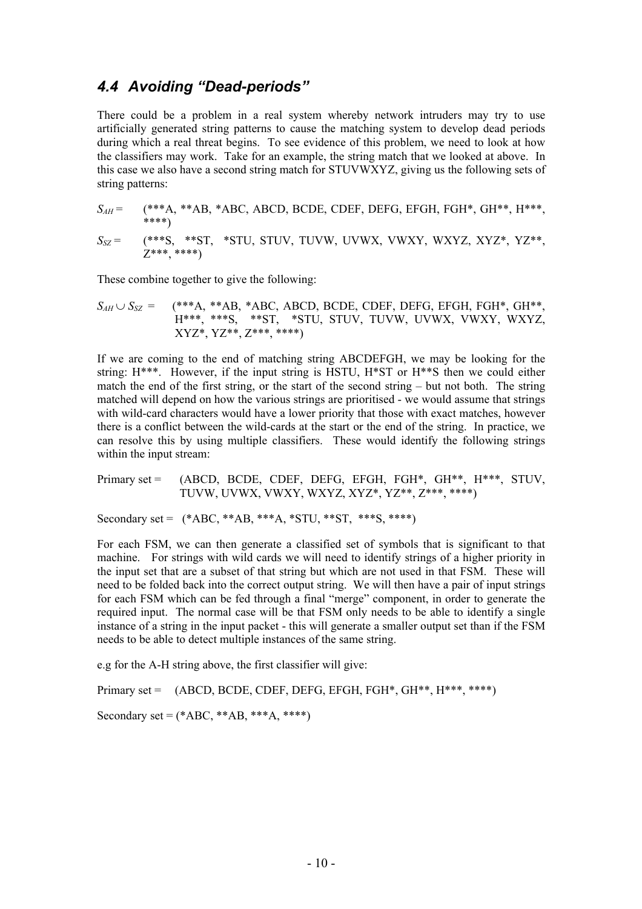#### **4.4 Avoiding "Dead-periods"**

There could be a problem in a real system whereby network intruders may try to use artificially generated string patterns to cause the matching system to develop dead periods during which a real threat begins. To see evidence of this problem, we need to look at how the classifiers may work. Take for an example, the string match that we looked at above. In this case we also have a second string match for STUVWXYZ, giving us the following sets of string patterns:

$$
S_{AH} = (\ast \ast A, \ast AB, \ast ABC, ABCD, BCDE, CDEF, DEFG, EFGH, FGH*, GH^{**}, H^{***},\nS_{SZ} = (\ast \ast S, \ast ST, \ast STU, STUV, TUVW, UVWX, VWXY, WXYZ, XYZ*, YZ^{**},\nZ^{***}, \ast \ast \ast \ast)
$$

These combine together to give the following:

$$
S_{AH} \cup S_{SZ}
$$
 =  $(**A, **AB, *ABC, ABCD, BCDE, CDEF, DEFG, EFGH, FGH*, GH**, H***, **ST, **ST, *STU, STUV, TUVW, UVWX, VWXY, WXYZ, XYZ*, YZ*, Z***, ***)$ 

If we are coming to the end of matching string ABCDEFGH, we may be looking for the string:  $H^{***}$ . However, if the input string is HSTU,  $H^{**}S$  then we could either match the end of the first string, or the start of the second string  $-$  but not both. The string matched will depend on how the various strings are prioritised - we would assume that strings with wild-card characters would have a lower priority that those with exact matches, however there is a conflict between the wild-cards at the start or the end of the string. In practice, we can resolve this by using multiple classifiers. These would identify the following strings within the input stream:

Primary set = (ABCD, BCDE, CDEF, DEFG, EFGH, FGH\*, GH\*\*, H\*\*\*, STUV, TUVW, UVWX, VWXY, WXYZ, XYZ\*, YZ\*\*, Z\*\*\*, \*\*\*\*)

Secondary set =  $(*ABC, **AB, **A, *STU, **ST, **S, ***)$ 

For each FSM, we can then generate a classified set of symbols that is significant to that machine. For strings with wild cards we will need to identify strings of a higher priority in the input set that are a subset of that string but which are not used in that FSM. These will need to be folded back into the correct output string. We will then have a pair of input strings for each FSM which can be fed through a final "merge" component, in order to generate the required input. The normal case will be that FSM only needs to be able to identify a single instance of a string in the input packet - this will generate a smaller output set than if the FSM needs to be able to detect multiple instances of the same string.

e.g for the A-H string above, the first classifier will give:

Primary set =  $(ABCD, BCDE, CDEF, DEFG, EFGH, FGH^*, GH^{***}, H^{***},$ \*\*\*\*) Secondary set =  $(*ABC, **AB, **A, ****)$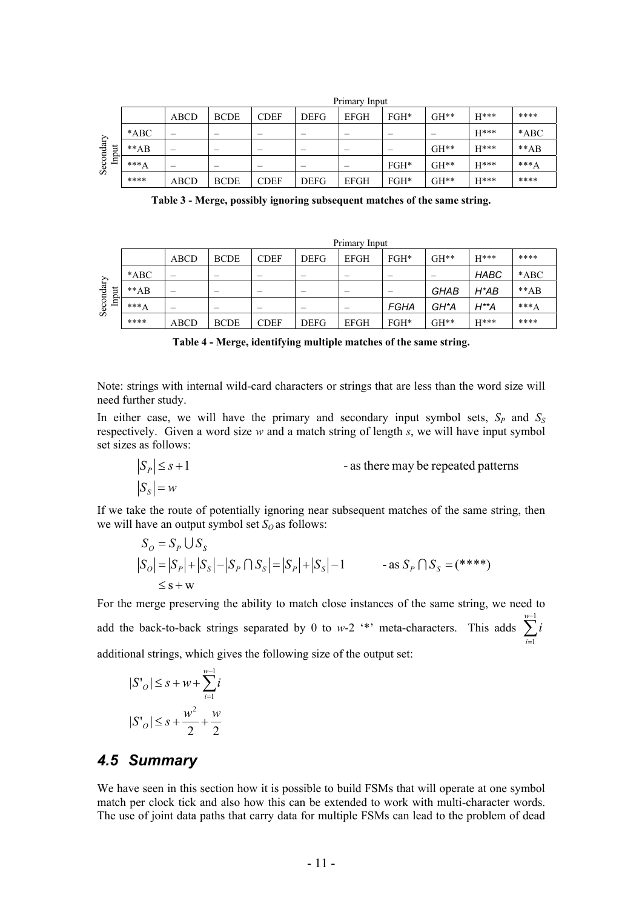|                |        |             |             |             |             | Primary Input            |        |        |        |        |
|----------------|--------|-------------|-------------|-------------|-------------|--------------------------|--------|--------|--------|--------|
|                |        | <b>ABCD</b> | <b>BCDE</b> | <b>CDEF</b> | <b>DEFG</b> | <b>EFGH</b>              | $FGH*$ | $GH**$ | $H***$ | ****   |
|                | $*ABC$ | -           |             | -           |             | $\overline{\phantom{a}}$ |        |        | $H***$ | $*ABC$ |
| ă<br>٣         | $**AB$ |             |             |             |             | $\overline{\phantom{a}}$ |        | $GH**$ | $H***$ | $**AB$ |
| Secondary<br>르 | $***A$ |             |             | -           |             |                          | $FGH*$ | $GH**$ | $H***$ | $***A$ |
|                | ****   | ABCD        | <b>BCDE</b> | <b>CDEF</b> | <b>DEFG</b> | <b>EFGH</b>              | $FGH*$ | $GH**$ | $H***$ | ****   |

**Table 3 - Merge, possibly ignoring subsequent matches of the same string.** 

|                    | Primary Input |             |             |             |             |                          |      |             |             |        |
|--------------------|---------------|-------------|-------------|-------------|-------------|--------------------------|------|-------------|-------------|--------|
|                    |               | ABCD        | <b>BCDE</b> | <b>CDEF</b> | <b>DEFG</b> | <b>EFGH</b>              | FGH* | GH**        | H***        | ****   |
| Secondary<br>Input | $*ABC$        | -           |             | -           |             | $\overline{\phantom{a}}$ |      |             | <b>HABC</b> | $*ABC$ |
|                    | $**AB$        |             |             | -           |             |                          |      | <b>GHAB</b> | H*AB        | $**AB$ |
|                    | $***A$        |             |             | -           |             |                          | FGHA | GH*A        | H**A        | $***A$ |
|                    | ****          | <b>ABCD</b> | <b>BCDE</b> | <b>CDEF</b> | <b>DEFG</b> | <b>EFGH</b>              | FGH* | GH**        | $H***$      | ****   |

**Table 4 - Merge, identifying multiple matches of the same string.** 

Note: strings with internal wild-card characters or strings that are less than the word size will need further study.

In either case, we will have the primary and secondary input symbol sets,  $S_P$  and  $S_S$ respectively. Given a word size *w* and a match string of length *s*, we will have input symbol set sizes as follows:

$$
|S_P| \le s + 1
$$
 - as there may be repeated patterns  

$$
|S_S| = w
$$

If we take the route of potentially ignoring near subsequent matches of the same string, then we will have an output symbol set  $S_Q$  as follows:

$$
S_O = S_P \cup S_S
$$
  
\n
$$
|S_O| = |S_P| + |S_S| - |S_P \cap S_S| = |S_P| + |S_S| - 1
$$
 - as  $S_P \cap S_S = (***)$   
\n
$$
\leq s + w
$$

For the merge preserving the ability to match close instances of the same string, we need to add the back-to-back strings separated by 0 to *w*-2 <sup>\*\*</sup> meta-characters. This adds  $\sum_{n=1}^{\infty}$ additional strings, which gives the following size of the output set: = 1 *i i*

$$
|S'_{o}| \leq s + w + \sum_{i=1}^{w-1} i
$$
  

$$
|S'_{o}| \leq s + \frac{w^{2}}{2} + \frac{w}{2}
$$

#### *4.5 Summary*

We have seen in this section how it is possible to build FSMs that will operate at one symbol match per clock tick and also how this can be extended to work with multi-character words. The use of joint data paths that carry data for multiple FSMs can lead to the problem of dead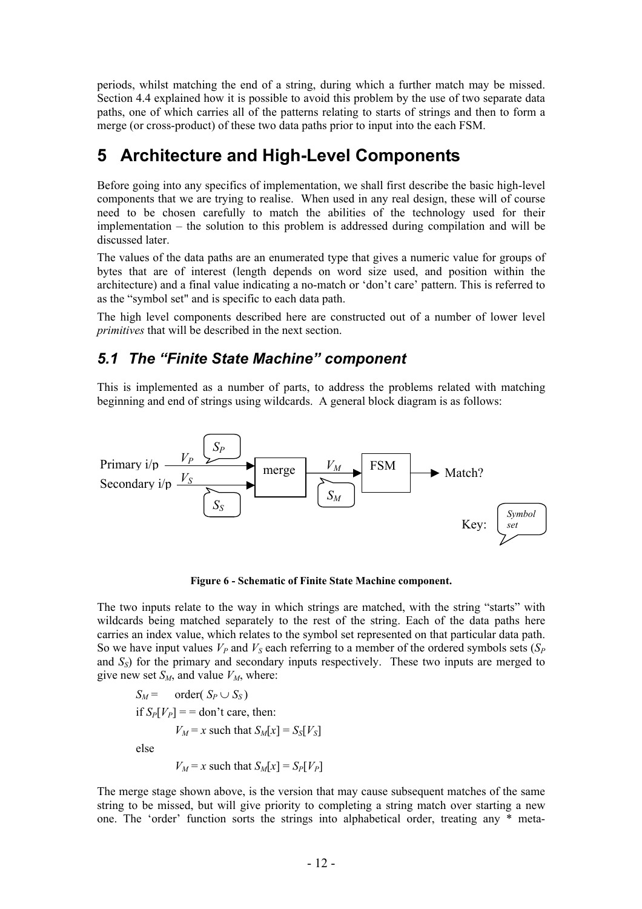periods, whilst matching the end of a string, during which a further match may be missed. Section [4.4](#page-10-0) explained how it is possible to avoid this problem by the use of two separate data paths, one of which carries all of the patterns relating to starts of strings and then to form a merge (or cross-product) of these two data paths prior to input into the each FSM.

# **5 Architecture and High-Level Components**

Before going into any specifics of implementation, we shall first describe the basic high-level components that we are trying to realise. When used in any real design, these will of course need to be chosen carefully to match the abilities of the technology used for their  $implementation - the solution to this problem is addressed during compilation and will be$ discussed later.

The values of the data paths are an enumerated type that gives a numeric value for groups of bytes that are of interest (length depends on word size used, and position within the architecture) and a final value indicating a no-match or 'don't care' pattern. This is referred to as the "symbol set" and is specific to each data path.

The high level components described here are constructed out of a number of lower level *primitives* that will be described in the next section.

### **5.1 The "Finite State Machine" component**

This is implemented as a number of parts, to address the problems related with matching beginning and end of strings using wildcards. A general block diagram is as follows:



**Figure 6 - Schematic of Finite State Machine component.** 

<span id="page-13-0"></span>The two inputs relate to the way in which strings are matched, with the string "starts" with wildcards being matched separately to the rest of the string. Each of the data paths here carries an index value, which relates to the symbol set represented on that particular data path. So we have input values  $V_P$  and  $V_S$  each referring to a member of the ordered symbols sets  $(S_P)$ and *SS*) for the primary and secondary inputs respectively. These two inputs are merged to give new set  $S_M$ , and value  $V_M$ , where:

$$
S_M = \text{order}(S_P \cup S_S)
$$
  
if  $S_P[V_P] = \text{don't care, then:}$   

$$
V_M = x \text{ such that } S_M[x] = S_S[V_S]
$$
  
else  

$$
V_M = x \text{ such that } S_M[x] = S_P[V_P]
$$

The merge stage shown above, is the version that may cause subsequent matches of the same string to be missed, but will give priority to completing a string match over starting a new one. The 'order' function sorts the strings into alphabetical order, treating any \* meta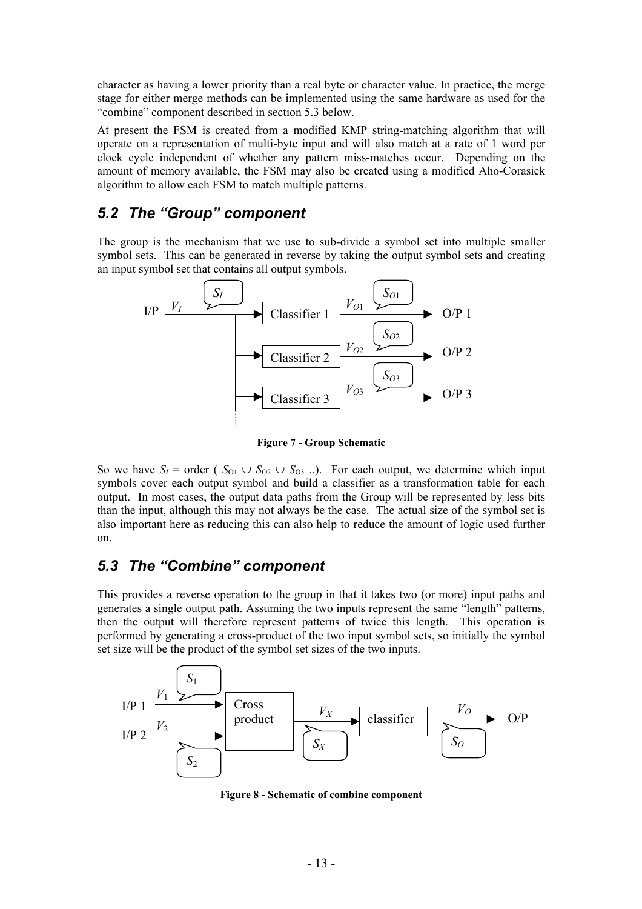character as having a lower priority than a real byte or character value. In practice, the merge stage for either merge methods can be implemented using the same hardware as used for the ìcombineî component described in section [5.3](#page-13-0) below.

At present the FSM is created from a modified KMP string-matching algorithm that will operate on a representation of multi-byte input and will also match at a rate of 1 word per clock cycle independent of whether any pattern miss-matches occur. Depending on the amount of memory available, the FSM may also be created using a modified Aho-Corasick algorithm to allow each FSM to match multiple patterns.

## 5.2 The "Group" component

The group is the mechanism that we use to sub-divide a symbol set into multiple smaller symbol sets. This can be generated in reverse by taking the output symbol sets and creating an input symbol set that contains all output symbols.



**Figure 7 - Group Schematic** 

So we have  $S_I$  = order ( $S_{O1} \cup S_{O2} \cup S_{O3}$ ..). For each output, we determine which input symbols cover each output symbol and build a classifier as a transformation table for each output. In most cases, the output data paths from the Group will be represented by less bits than the input, although this may not always be the case. The actual size of the symbol set is also important here as reducing this can also help to reduce the amount of logic used further on.

### **5.3 The "Combine" component**

This provides a reverse operation to the group in that it takes two (or more) input paths and generates a single output path. Assuming the two inputs represent the same "length" patterns, then the output will therefore represent patterns of twice this length. This operation is performed by generating a cross-product of the two input symbol sets, so initially the symbol set size will be the product of the symbol set sizes of the two inputs.



**Figure 8 - Schematic of combine component**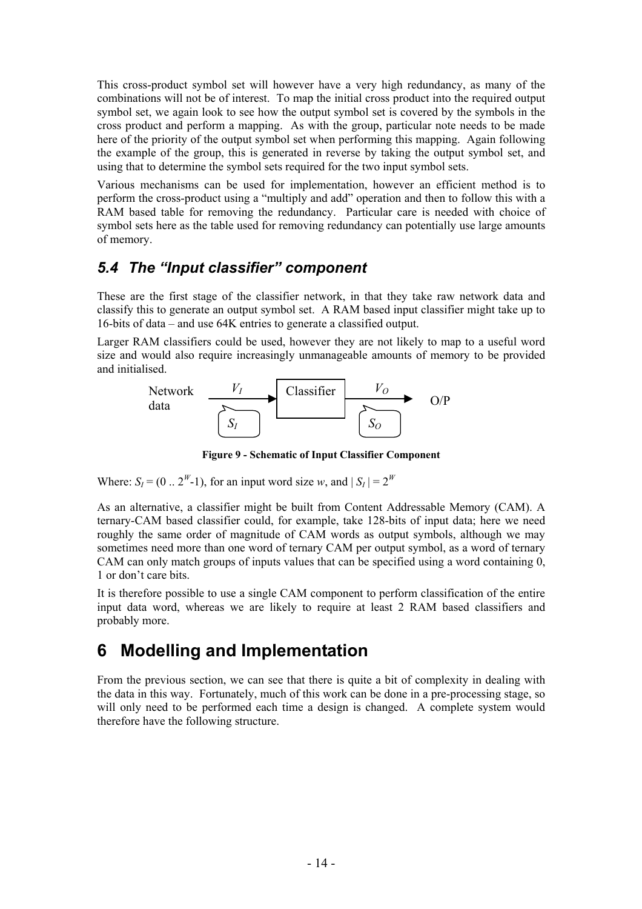This cross-product symbol set will however have a very high redundancy, as many of the combinations will not be of interest. To map the initial cross product into the required output symbol set, we again look to see how the output symbol set is covered by the symbols in the cross product and perform a mapping. As with the group, particular note needs to be made here of the priority of the output symbol set when performing this mapping. Again following the example of the group, this is generated in reverse by taking the output symbol set, and using that to determine the symbol sets required for the two input symbol sets.

Various mechanisms can be used for implementation, however an efficient method is to perform the cross-product using a "multiply and add" operation and then to follow this with a RAM based table for removing the redundancy. Particular care is needed with choice of symbol sets here as the table used for removing redundancy can potentially use large amounts of memory.

## **5.4 The "Input classifier" component**

These are the first stage of the classifier network, in that they take raw network data and classify this to generate an output symbol set. A RAM based input classifier might take up to 16-bits of data  $-$  and use 64K entries to generate a classified output.

Larger RAM classifiers could be used, however they are not likely to map to a useful word size and would also require increasingly unmanageable amounts of memory to be provided and initialised.



**Figure 9 - Schematic of Input Classifier Component** 

Where:  $S_I = (0 \dots 2^W - 1)$ , for an input word size *w*, and  $|S_I| = 2^W$ 

As an alternative, a classifier might be built from Content Addressable Memory (CAM). A ternary-CAM based classifier could, for example, take 128-bits of input data; here we need roughly the same order of magnitude of CAM words as output symbols, although we may sometimes need more than one word of ternary CAM per output symbol, as a word of ternary CAM can only match groups of inputs values that can be specified using a word containing 0, 1 or don't care bits.

It is therefore possible to use a single CAM component to perform classification of the entire input data word, whereas we are likely to require at least 2 RAM based classifiers and probably more.

# **6 Modelling and Implementation**

From the previous section, we can see that there is quite a bit of complexity in dealing with the data in this way. Fortunately, much of this work can be done in a pre-processing stage, so will only need to be performed each time a design is changed. A complete system would therefore have the following structure.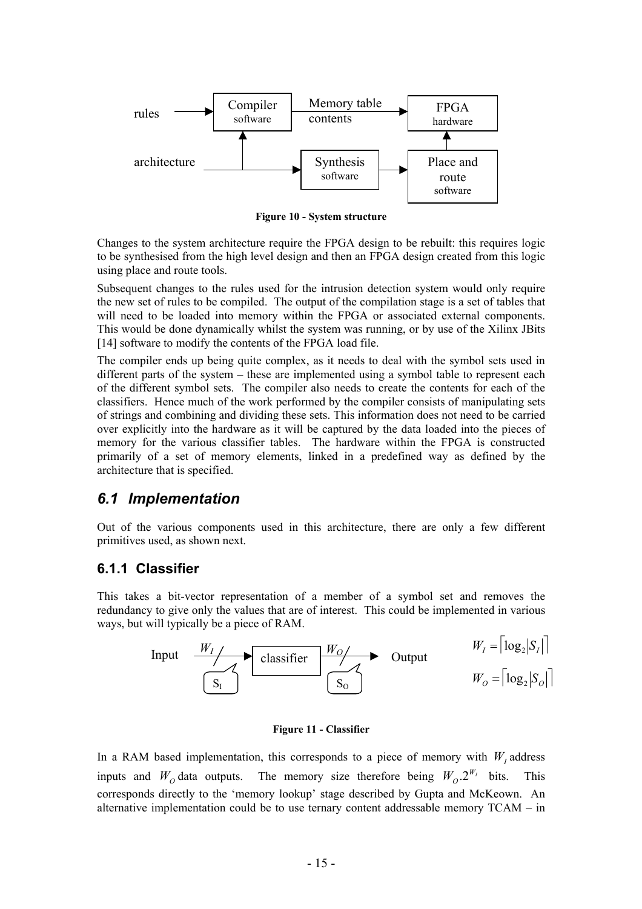

**Figure 10 - System structure** 

Changes to the system architecture require the FPGA design to be rebuilt: this requires logic to be synthesised from the high level design and then an FPGA design created from this logic using place and route tools.

Subsequent changes to the rules used for the intrusion detection system would only require the new set of rules to be compiled. The output of the compilation stage is a set of tables that will need to be loaded into memory within the FPGA or associated external components. This would be done dynamically whilst the system was running, or by use of the Xilinx JBits [[14\]](#page-24-13) software to modify the contents of the FPGA load file.

The compiler ends up being quite complex, as it needs to deal with the symbol sets used in different parts of the system  $-$  these are implemented using a symbol table to represent each of the different symbol sets. The compiler also needs to create the contents for each of the classifiers. Hence much of the work performed by the compiler consists of manipulating sets of strings and combining and dividing these sets. This information does not need to be carried over explicitly into the hardware as it will be captured by the data loaded into the pieces of memory for the various classifier tables. The hardware within the FPGA is constructed primarily of a set of memory elements, linked in a predefined way as defined by the architecture that is specified.

#### *6.1 Implementation*

Out of the various components used in this architecture, there are only a few different primitives used, as shown next.

#### **6.1.1 Classifier**

This takes a bit-vector representation of a member of a symbol set and removes the redundancy to give only the values that are of interest. This could be implemented in various ways, but will typically be a piece of RAM.



#### **Figure 11 - Classifier**

In a RAM based implementation, this corresponds to a piece of memory with  $W<sub>I</sub>$  address inputs and  $W_0$  data outputs. The memory size therefore being  $W_0 \cdot 2^{W_I}$  bits. This corresponds directly to the 'memory lookup' stage described by Gupta and McKeown. An alternative implementation could be to use ternary content addressable memory  $TCAM - in$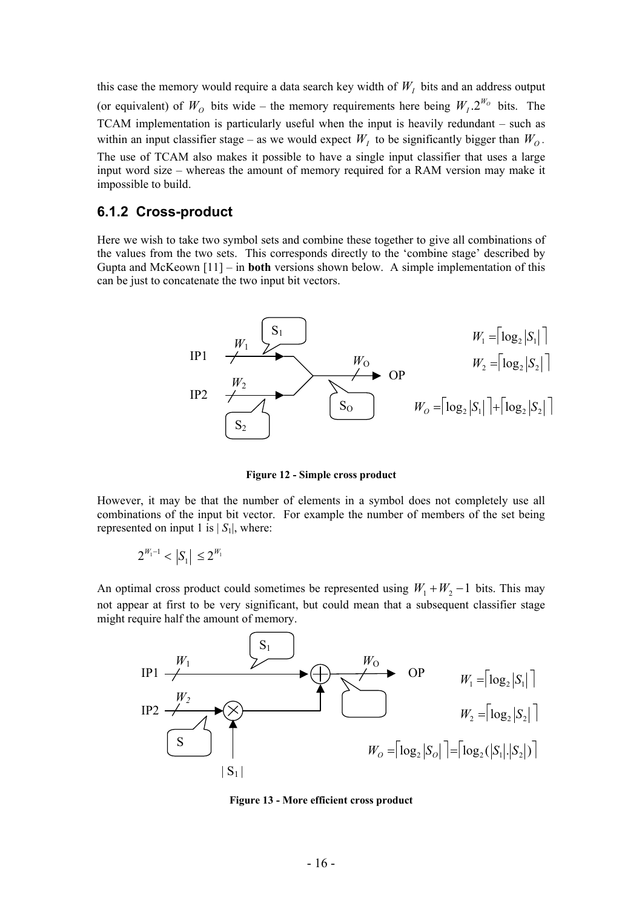this case the memory would require a data search key width of  $W_I$  bits and an address output (or equivalent) of  $W_0$  bits wide – the memory requirements here being  $W_1 \cdot 2^{W_0}$  bits. The TCAM implementation is particularly useful when the input is heavily redundant  $-$  such as within an input classifier stage – as we would expect  $W<sub>I</sub>$  to be significantly bigger than  $W<sub>O</sub>$ . The use of TCAM also makes it possible to have a single input classifier that uses a large input word size – whereas the amount of memory required for a RAM version may make it impossible to build.

#### **6.1.2 Cross-product**

Gupta and McKeown  $[11]$  – in **both** versions shown below. A simple implementation of this can be just to concatenate the two input bit vectors. Here we wish to take two symbol sets and combine these together to give all combinations of the values from the two sets. This corresponds directly to the 'combine stage' described by

whereas the amount of memory required for a RAM version may make it  
\nd.  
\n**product**  
\nake two symbol sets and combine these together to give all combinations of  
\nnew sets. This corresponds directly to the 'combine stage' described by  
\nown [11] – in **both** versions shown below. A simple implementation of this  
\ncatenate the two input bit vectors.  
\nIP1  
\n
$$
W_1
$$
  
\n $W_2$   
\nIP2  
\n $W_2$   
\n $W_0$   
\nIP3  
\n $W_2$   
\n $W_2$   
\n $W_0$   
\n $W_2 = \begin{bmatrix} \log_2 |S_1| \\ \log_2 |S_2| \end{bmatrix}$   
\nFigure 12 - Simple cross product  
\nbe that the number of elements in a symbol does not completely use all

**Figure 12 - Simple cross product** 

However, it may be that the number of elements in a symbol does not completely use all combinations of the input bit vector. For example the number of members of the set being represented on input 1 is  $|S_1|$ , where:

$$
2^{W_1-1} < |S_1| \le 2^{W_1}
$$

not appear at first to be very significant, but could mean that a subsequent classifier stage An optimal cross product could sometimes be represented using  $W_1 + W_2 - 1$  bits. This may might require half the amount of memory.



**Figure 13 - More efficient cross product**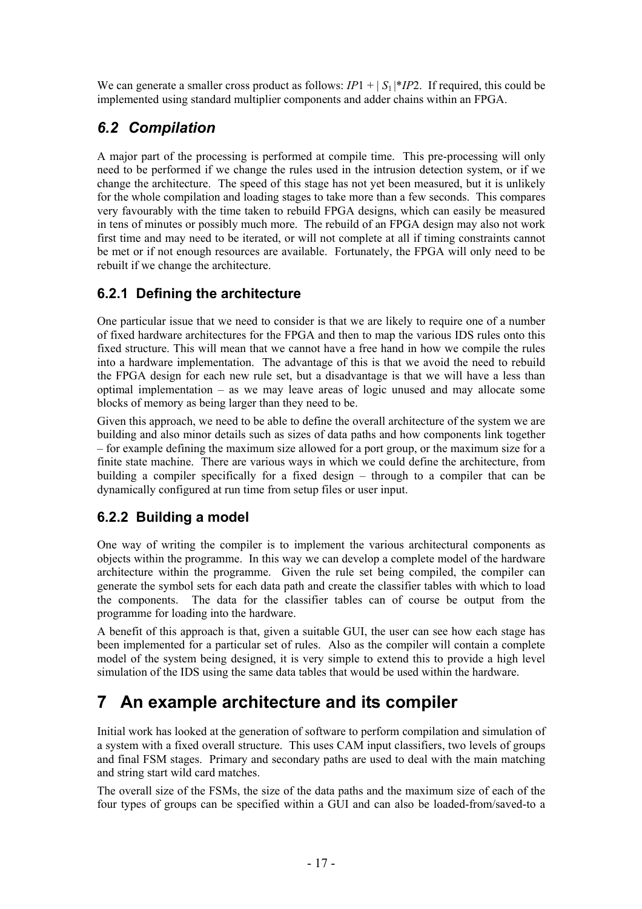We can generate a smaller cross product as follows:  $IP1 + |S_1|^*IP2$ . If required, this could be implemented using standard multiplier components and adder chains within an FPGA.

## *6.2 Compilation*

in tens of minutes or possibly much more. The rebuild of an FPGA design may also not work first time and may need to be iterated, or will not complete at all if timing constraints cannot be met or if not enough resources are available. Fortunately, the FPGA will only need to be rebuilt if we change the architecture. A major part of the processing is performed at compile time. This pre-processing will only need to be performed if we change the rules used in the intrusion detection system, or if we change the architecture. The speed of this stage has not yet been measured, but it is unlikely for the whole compilation and loading stages to take more than a few seconds. This compares very favourably with the time taken to rebuild FPGA designs, which can easily be measured

## **6.2.1 Defining the architecture**

into a hardware implementation. The advantage of this is that we avoid the need to rebuild One particular issue that we need to consider is that we are likely to require one of a number of fixed hardware architectures for the FPGA and then to map the various IDS rules onto this fixed structure. This will mean that we cannot have a free hand in how we compile the rules the FPGA design for each new rule set, but a disadvantage is that we will have a less than optimal implementation  $-$  as we may leave areas of logic unused and may allocate some blocks of memory as being larger than they need to be.

– for example defining the maximum size allowed for a port group, or the maximum size for a finite state machine. There are various ways in which we could define the architecture, from building a compiler specifically for a fixed design – through to a compiler that can be dynamically configured at run time from setup files or user input. Given this approach, we need to be able to define the overall architecture of the system we are building and also minor details such as sizes of data paths and how components link together

### **6.2.2 Building a model**

architecture within the programme. Given the rule set being compiled, the compiler can One way of writing the compiler is to implement the various architectural components as objects within the programme. In this way we can develop a complete model of the hardware generate the symbol sets for each data path and create the classifier tables with which to load the components. The data for the classifier tables can of course be output from the programme for loading into the hardware.

A benefit of this approach is that, given a suitable GUI, the user can see how each stage has been implemented for a particular set of rules. Also as the compiler will contain a complete model of the system being designed, it is very simple to extend this to provide a high level simulation of the IDS using the same data tables that would be used within the hardware.

# **7 An example architecture and its compiler**

Initial work has looked at the generation of software to perform compilation and simulation of a system with a fixed overall structure. This uses CAM input classifiers, two levels of groups and final FSM stages. Primary and secondary paths are used to deal with the main matching and string start wild card matches.

The overall size of the FSMs, the size of the data paths and the maximum size of each of the four types of groups can be specified within a GUI and can also be loaded-from/saved-to a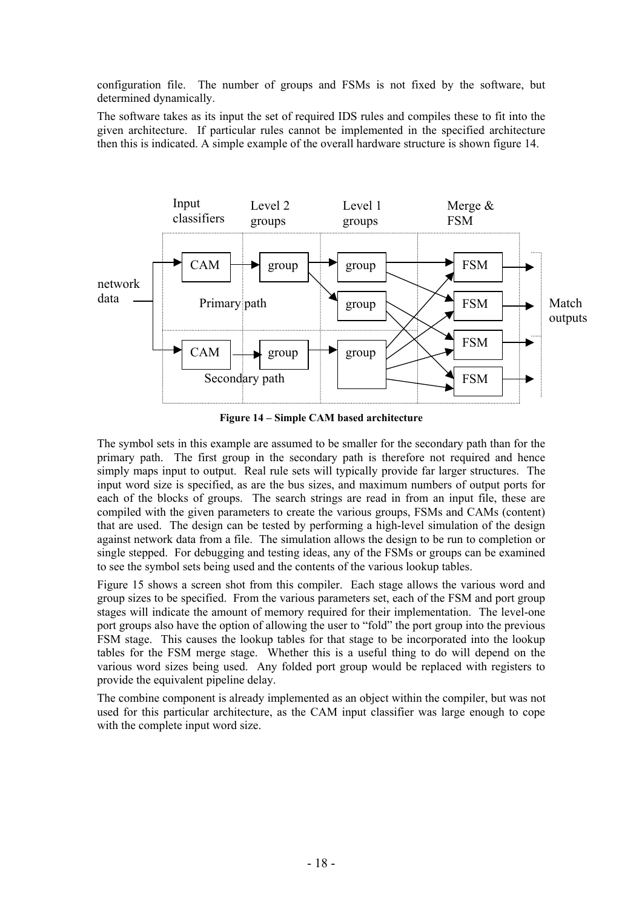<span id="page-19-0"></span>configuration file. The number of groups and FSMs is not fixed by the software, but determined dynamically.

The software takes as its input the set of required IDS rules and compiles these to fit into the given architecture. If particular rules cannot be implemented in the specified architecture then this is indicated. A simple example of the overall hardware structure is shown figure 14.



Figure 14 – Simple CAM based architecture

that are used. The design can be tested by performing a high-level simulation of the design The symbol sets in this example are assumed to be smaller for the secondary path than for the primary path. The first group in the secondary path is therefore not required and hence simply maps input to output. Real rule sets will typically provide far larger structures. The input word size is specified, as are the bus sizes, and maximum numbers of output ports for each of the blocks of groups. The search strings are read in from an input file, these are compiled with the given parameters to create the various groups, FSMs and CAMs (content) against network data from a file. The simulation allows the design to be run to completion or single stepped. For debugging and testing ideas, any of the FSMs or groups can be examined to see the symbol sets being used and the contents of the various lookup tables.

<span id="page-19-2"></span>FSM stage. This causes the lookup tables for that stage to be incorporated into the lookup [Figure 15](#page-19-0) shows a screen shot from this compiler. Each stage allows the various word and group sizes to be specified. From the various parameters set, each of the FSM and port group stages will indicate the amount of memory required for their implementation. The level-one port groups also have the option of allowing the user to "fold" the port group into the previous . provide the equivalent pipeline delaytables for the FSM merge stage. Whether this is a useful thing to do will depend on the various word sizes being used. Any folded port group would be replaced with registers to

<span id="page-19-1"></span>The combine component is already implemented as an object within the compiler, but was not used for this particular architecture, as the CAM input classifier was large enough to cope with the complete input word size.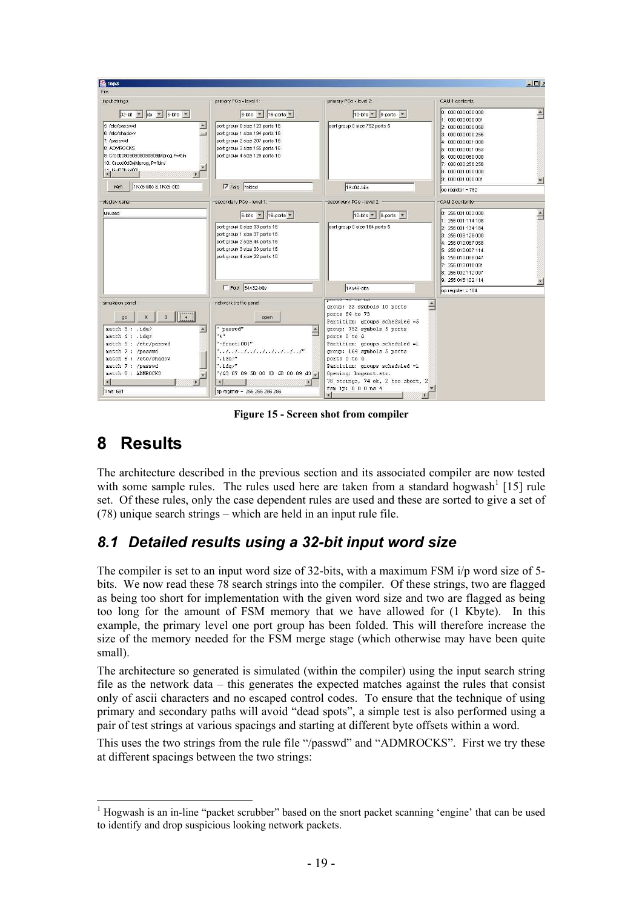

**Figure 15 - Screen shot from compiler** 

# **8 Results**

The architecture described in the previous section and its associated compiler are now tested with some sample rules. The rules used here are taken from a standard hogwash<sup>[1](#page-19-1)</sup> [[15\]](#page-24-14) rule set. Of these rules, only the case dependent rules are used and these are sorted to give a set of  $(78)$  unique search strings – which are held in an input rule file.

## *8.1 Detailed results using a 32-bit input word size*

The compiler is set to an input word size of 32-bits, with a maximum FSM i/p word size of 5 bits. We now read these 78 search strings into the compiler. Of these strings, two are flagged as being too short for implementation with the given word size and two are flagged as being too long for the amount of FSM memory that we have allowed for (1 Kbyte). In this example, the primary level one port group has been folded. This will therefore increase the size of the memory needed for the FSM merge stage (which otherwise may have been quite small).

The architecture so generated is simulated (within the compiler) using the input search string file as the network data  $-$  this generates the expected matches against the rules that consist only of ascii characters and no escaped control codes. To ensure that the technique of using primary and secondary paths will avoid "dead spots", a simple test is also performed using a pair of test strings at various spacings and starting at different byte offsets within a word.

This uses the two strings from the rule file "/passwd" and "ADMROCKS". First we try these at different spacings between the two strings:

 $\overline{a}$ <sup>1</sup> Hogwash is an in-line "packet scrubber" based on the snort packet scanning 'engine' that can be used to identify and drop suspicious looking network packets.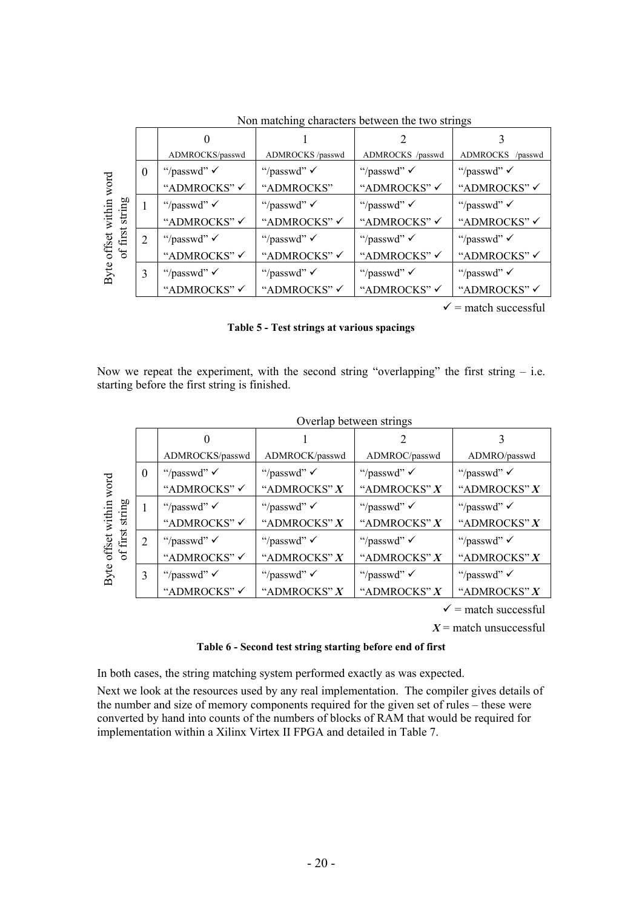|                      |          | 0                       |                        |                        |                            |
|----------------------|----------|-------------------------|------------------------|------------------------|----------------------------|
|                      |          | ADMROCKS/passwd         | ADMROCKS /passwd       | ADMROCKS /passwd       | <b>ADMROCKS</b><br>/passwd |
|                      | $\theta$ | "/passwd" $\checkmark$  | "/passwd" $\checkmark$ | "/passwd" $\checkmark$ | "/passwd" $\checkmark$     |
| word                 |          | "ADMROCKS" $\checkmark$ | "ADMROCKS"             | "ADMROCKS" √           | "ADMROCKS" √               |
| string<br>within     |          | "/passwd" $\checkmark$  | "/passwd" $\checkmark$ | "/passwd" $\checkmark$ | "/passwd" $\checkmark$     |
|                      |          | "ADMROCKS" ✓            | "ADMROCKS" ✓           | "ADMROCKS" √           | "ADMROCKS" √               |
| offset v<br>of first | 2        | "/passwd" $\checkmark$  | "/passwd" $\checkmark$ | "/passwd" $\checkmark$ | "/passwd" $\checkmark$     |
|                      |          | "ADMROCKS" √            | "ADMROCKS" √           | "ADMROCKS" √           | "ADMROCKS" √               |
| Byte                 | 3        | "/passwd" $\checkmark$  | "/passwd" $\checkmark$ | "/passwd" $\checkmark$ | "/passwd" $\checkmark$     |
|                      |          | "ADMROCKS" ✓            | "ADMROCKS" ✓           | "ADMROCKS" ✓           | "ADMROCKS" ✓               |
|                      |          |                         |                        |                        |                            |

Non matching characters between the two strings

 $\checkmark$  = match successful

<span id="page-21-0"></span>**Table 5 - Test strings at various spacings** 

Now we repeat the experiment, with the second string "overlapping" the first string  $-$  i.e. starting before the first string is finished.

|                      |          |                        |                        | Overlap between strings |                        |
|----------------------|----------|------------------------|------------------------|-------------------------|------------------------|
|                      |          |                        |                        |                         |                        |
|                      |          | ADMROCKS/passwd        | ADMROCK/passwd         | ADMROC/passwd           | ADMRO/passwd           |
|                      | $\theta$ | "/passwd" $\checkmark$ | "/passwd" $\checkmark$ | "/passwd" $\checkmark$  | "/passwd" $\checkmark$ |
| word                 |          | "ADMROCKS" √           | "ADMROCKS" $X$         | "ADMROCKS" X            | "ADMROCKS" X           |
| string<br>within     |          | "/passwd" $\checkmark$ | "/passwd" $\checkmark$ | "/passwd" $\checkmark$  | "/passwd" $\checkmark$ |
|                      |          | "ADMROCKS" ✓           | "ADMROCKS" X           | "ADMROCKS" X            | "ADMROCKS" X           |
| offset w<br>of first | 2        | "/passwd" $\checkmark$ | "/passwd" $\checkmark$ | "/passwd" $\checkmark$  | "/passwd" $\checkmark$ |
| Byte                 |          | "ADMROCKS" √           | "ADMROCKS" $X$         | "ADMROCKS" $X$          | "ADMROCKS" X           |
|                      | 3        | "/passwd" $\checkmark$ | "/passwd" $\checkmark$ | "/passwd" $\checkmark$  | "/passwd" $\checkmark$ |
|                      |          | "ADMROCKS" ✓           | "ADMROCKS" X           | "ADMROCKS" X            | "ADMROCKS" X           |

rlap between string

 $\checkmark$  = match successful

 $X =$  match unsuccessful

#### **Table 6 - Second test string starting before end of first**

In both cases, the string matching system performed exactly as was expected.

Next we look at the resources used by any real implementation. The compiler gives details of the number and size of memory components required for the given set of rules  $-$  these were converted by hand into counts of the numbers of blocks of RAM that would be required for implementation within a Xilinx Virtex II FPGA and detailed in [Table 7.](#page-21-0)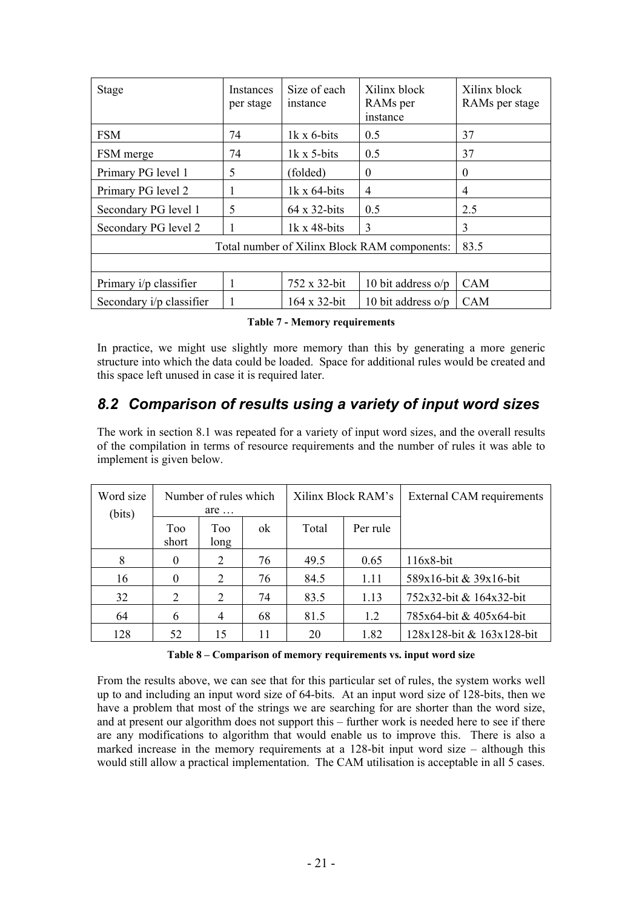| <b>Stage</b>             | Instances<br>per stage                       | Size of each<br>instance | Xilinx block<br>RAMs per<br>instance | Xilinx block<br>RAMs per stage |  |  |  |  |
|--------------------------|----------------------------------------------|--------------------------|--------------------------------------|--------------------------------|--|--|--|--|
| <b>FSM</b>               | 74                                           | $1k \times 6$ -bits      | 0.5                                  | 37                             |  |  |  |  |
| FSM merge                | 74                                           | $1k \times 5$ -bits      | 0.5                                  | 37                             |  |  |  |  |
| Primary PG level 1       | 5                                            | (folded)                 | $\theta$                             | $\theta$                       |  |  |  |  |
| Primary PG level 2       | J.                                           | $1k \times 64$ -bits     | 4                                    | 4                              |  |  |  |  |
| Secondary PG level 1     | 5                                            | $64 \times 32$ -bits     | 0.5                                  | 2.5                            |  |  |  |  |
| Secondary PG level 2     |                                              | $1k \times 48$ -bits     | 3                                    | 3                              |  |  |  |  |
|                          | Total number of Xilinx Block RAM components: | 83.5                     |                                      |                                |  |  |  |  |
|                          |                                              |                          |                                      |                                |  |  |  |  |
| Primary i/p classifier   | 1                                            | 752 x 32-bit             | 10 bit address $o/p$                 | <b>CAM</b>                     |  |  |  |  |
| Secondary i/p classifier |                                              | $164 \times 32$ -bit     | 10 bit address $o/p$                 | <b>CAM</b>                     |  |  |  |  |

**Table 7 - Memory requirements** 

In practice, we might use slightly more memory than this by generating a more generic structure into which the data could be loaded. Space for additional rules would be created and this space left unused in case it is required later.

## *8.2 Comparison of results using a variety of input word sizes*

The work in section [8.1](#page-19-2) was repeated for a variety of input word sizes, and the overall results of the compilation in terms of resource requirements and the number of rules it was able to implement is given below.

| Word size<br>(bits) | Number of rules which<br>$are$ |                |    | Xilinx Block RAM's |          | External CAM requirements |
|---------------------|--------------------------------|----------------|----|--------------------|----------|---------------------------|
|                     | Too<br>short                   | Too<br>long    | ok | Total              | Per rule |                           |
| 8                   | $\theta$                       | 2              | 76 | 49.5               | 0.65     | 116x8-bit                 |
| 16                  | $\Omega$                       | 2              | 76 | 84.5               | 1.11     | 589x16-bit & 39x16-bit    |
| 32                  | $\overline{2}$                 | 2              | 74 | 83.5               | 1.13     | 752x32-bit & 164x32-bit   |
| 64                  | 6                              | $\overline{4}$ | 68 | 81.5               | 1.2      | 785x64-bit & 405x64-bit   |
| 128                 | 52                             | 15             | 11 | 20                 | 1.82     | 128x128-bit & 163x128-bit |

Table 8 – Comparison of memory requirements vs. input word size

From the results above, we can see that for this particular set of rules, the system works well up to and including an input word size of 64-bits. At an input word size of 128-bits, then we have a problem that most of the strings we are searching for are shorter than the word size, and at present our algorithm does not support this  $-$  further work is needed here to see if there are any modifications to algorithm that would enable us to improve this. There is also a marked increase in the memory requirements at a  $128$ -bit input word size  $-$  although this would still allow a practical implementation. The CAM utilisation is acceptable in all 5 cases.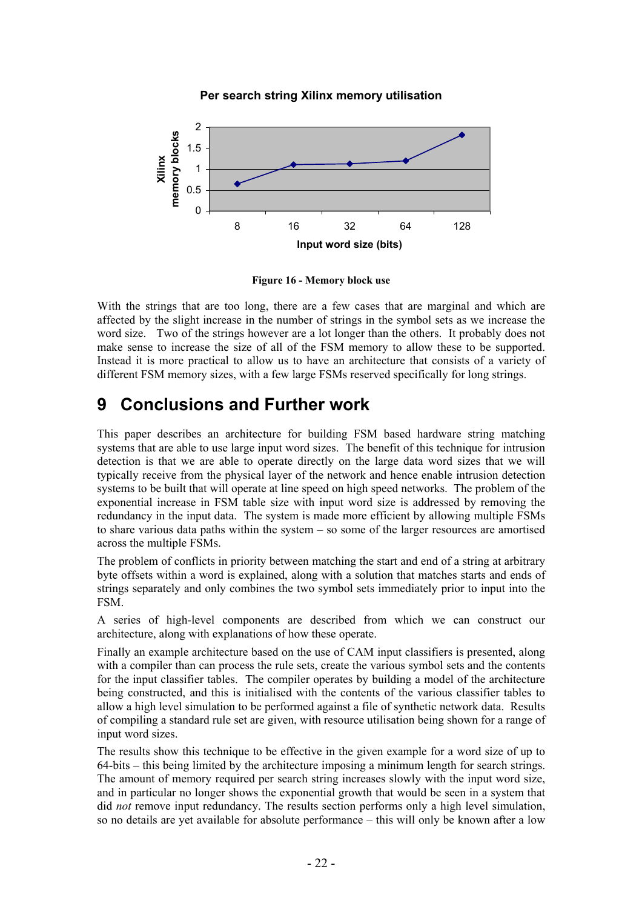

**Per search string Xilinx memory utilisation**

**Figure 16 - Memory block use** 

With the strings that are too long, there are a few cases that are marginal and which are affected by the slight increase in the number of strings in the symbol sets as we increase the word size. Two of the strings however are a lot longer than the others. It probably does not make sense to increase the size of all of the FSM memory to allow these to be supported. Instead it is more practical to allow us to have an architecture that consists of a variety of different FSM memory sizes, with a few large FSMs reserved specifically for long strings.

# **9 Conclusions and Further work**

This paper describes an architecture for building FSM based hardware string matching systems that are able to use large input word sizes. The benefit of this technique for intrusion detection is that we are able to operate directly on the large data word sizes that we will typically receive from the physical layer of the network and hence enable intrusion detection systems to be built that will operate at line speed on high speed networks. The problem of the exponential increase in FSM table size with input word size is addressed by removing the redundancy in the input data. The system is made more efficient by allowing multiple FSMs to share various data paths within the system  $-$  so some of the larger resources are amortised across the multiple FSMs.

The problem of conflicts in priority between matching the start and end of a string at arbitrary byte offsets within a word is explained, along with a solution that matches starts and ends of strings separately and only combines the two symbol sets immediately prior to input into the FSM.

A series of high-level components are described from which we can construct our architecture, along with explanations of how these operate.

Finally an example architecture based on the use of CAM input classifiers is presented, along with a compiler than can process the rule sets, create the various symbol sets and the contents for the input classifier tables. The compiler operates by building a model of the architecture being constructed, and this is initialised with the contents of the various classifier tables to allow a high level simulation to be performed against a file of synthetic network data. Results of compiling a standard rule set are given, with resource utilisation being shown for a range of input word sizes.

The results show this technique to be effective in the given example for a word size of up to  $64-bits - this being limited by the architecture imposing a minimum length for search strings.$ The amount of memory required per search string increases slowly with the input word size, and in particular no longer shows the exponential growth that would be seen in a system that did *not* remove input redundancy. The results section performs only a high level simulation, so no details are yet available for absolute performance – this will only be known after a low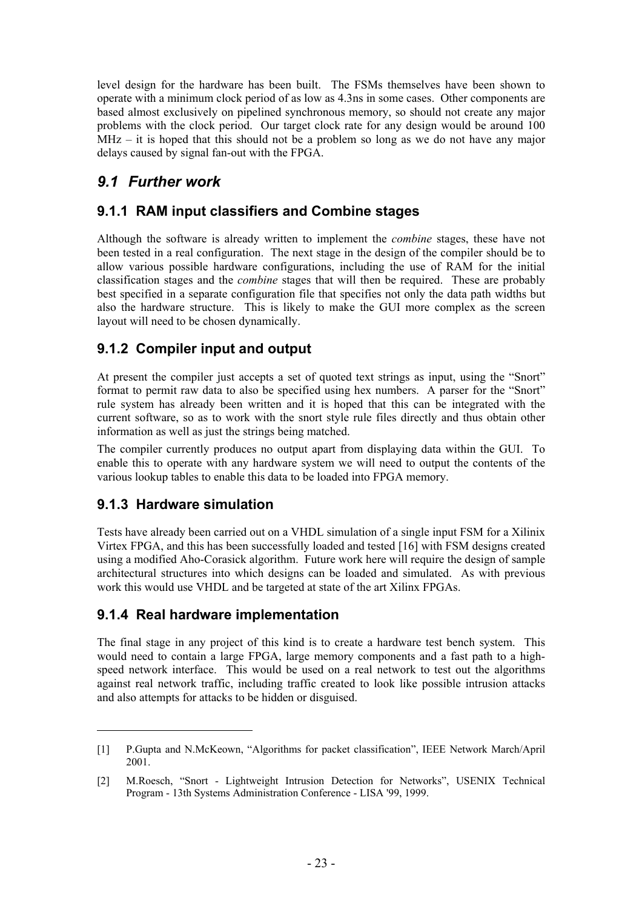<span id="page-24-9"></span><span id="page-24-2"></span>level design for the hardware has been built. The FSMs themselves have been shown to operate with a minimum clock period of as low as 4.3ns in some cases. Other components are based almost exclusively on pipelined synchronous memory, so should not create any major problems with the clock period. Our target clock rate for any design would be around 100  $MHz - it$  is hoped that this should not be a problem so long as we do not have any major delays caused by signal fan-out with the FPGA.

## <span id="page-24-10"></span><span id="page-24-3"></span><span id="page-24-1"></span>*9.1 Further work*

#### **9.1.1 RAM input classifiers and Combine stages**

<span id="page-24-4"></span>Although the software is already written to implement the *combine* stages, these have not been tested in a real configuration. The next stage in the design of the compiler should be to allow various possible hardware configurations, including the use of RAM for the initial classification stages and the *combine* stages that will then be required. These are probably best specified in a separate configuration file that specifies not only the data path widths but also the hardware structure. This is likely to make the GUI more complex as the screen layout will need to be chosen dynamically.

## <span id="page-24-13"></span><span id="page-24-5"></span>**9.1.2 Compiler input and output**

At present the compiler just accepts a set of quoted text strings as input, using the "Snort" format to permit raw data to also be specified using hex numbers. A parser for the "Snort" rule system has already been written and it is hoped that this can be integrated with the current software, so as to work with the snort style rule files directly and thus obtain other information as well as just the strings being matched.

<span id="page-24-6"></span>The compiler currently produces no output apart from displaying data within the GUI. To enable this to operate with any hardware system we will need to output the contents of the various lookup tables to enable this data to be loaded into FPGA memory.

#### <span id="page-24-14"></span>**9.1.3 Hardware simulation**

 $\overline{a}$ 

<span id="page-24-15"></span><span id="page-24-7"></span>Tests have already been carried out on a VHDL simulation of a single input FSM for a Xilinix Virtex FPGA, and this has been successfully loaded and tested [[16\]](#page-24-15) with FSM designs created using a modified Aho-Corasick algorithm. Future work here will require the design of sample architectural structures into which designs can be loaded and simulated. As with previous work this would use VHDL and be targeted at state of the art Xilinx FPGAs.

### **9.1.4 Real hardware implementation**

<span id="page-24-12"></span><span id="page-24-11"></span>The final stage in any project of this kind is to create a hardware test bench system. This would need to contain a large FPGA, large memory components and a fast path to a highspeed network interface. This would be used on a real network to test out the algorithms against real network traffic, including traffic created to look like possible intrusion attacks and also attempts for attacks to be hidden or disguised.

<span id="page-24-0"></span><sup>[1]</sup> P.Gupta and N.McKeown, "Algorithms for packet classification", IEEE Network March/April 2001.

<span id="page-24-8"></span><sup>[2]</sup> M.Roesch, "Snort - Lightweight Intrusion Detection for Networks", USENIX Technical Program - 13th Systems Administration Conference - LISA '99, 1999.